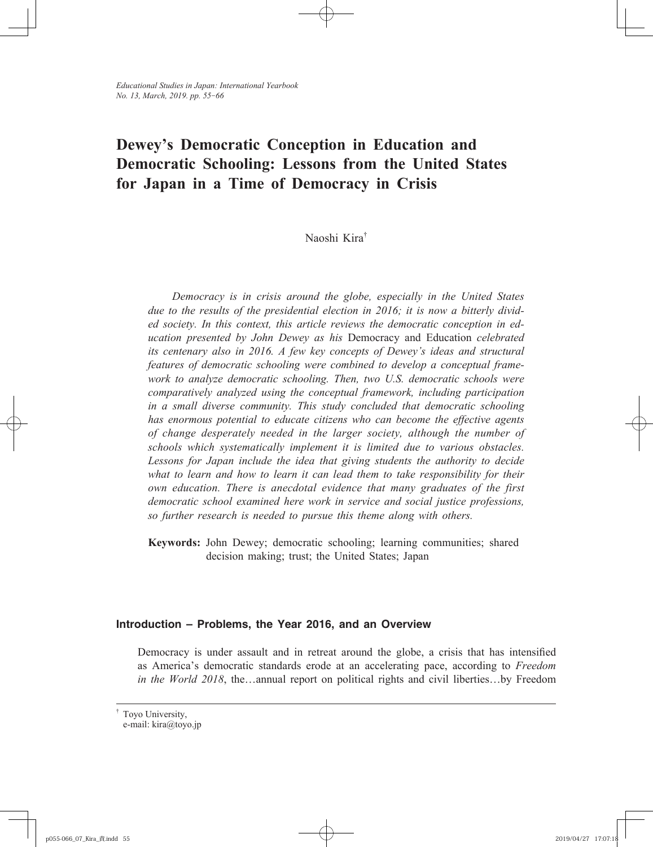# **Dewey's Democratic Conception in Education and Democratic Schooling: Lessons from the United States for Japan in a Time of Democracy in Crisis**

## Naoshi Kira†

*Democracy is in crisis around the globe, especially in the United States due to the results of the presidential election in 2016; it is now a bitterly divided society. In this context, this article reviews the democratic conception in education presented by John Dewey as his* Democracy and Education *celebrated its centenary also in 2016. A few key concepts of Dewey's ideas and structural features of democratic schooling were combined to develop a conceptual framework to analyze democratic schooling. Then, two U.S. democratic schools were comparatively analyzed using the conceptual framework, including participation in a small diverse community. This study concluded that democratic schooling has enormous potential to educate citizens who can become the eff ective agents of change desperately needed in the larger society, although the number of schools which systematically implement it is limited due to various obstacles.*  Lessons for Japan include the idea that giving students the authority to decide what to learn and how to learn it can lead them to take responsibility for their *own education. There is anecdotal evidence that many graduates of the first democratic school examined here work in service and social justice professions, so further research is needed to pursue this theme along with others.*

**Keywords:** John Dewey; democratic schooling; learning communities; shared decision making; trust; the United States; Japan

## **Introduction – Problems, the Year 2016, and an Overview**

Democracy is under assault and in retreat around the globe, a crisis that has intensified as America's democratic standards erode at an accelerating pace, according to *Freedom in the World 2018*, the…annual report on political rights and civil liberties…by Freedom

<sup>†</sup> Toyo University, e-mail: kira@toyo.jp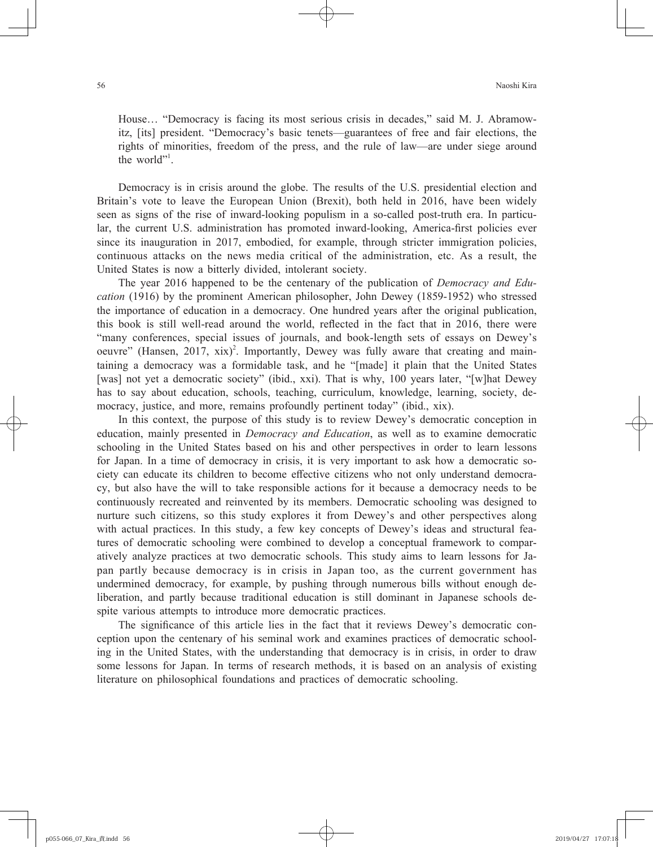House… "Democracy is facing its most serious crisis in decades," said M. J. Abramowitz, [its] president. "Democracy's basic tenets—guarantees of free and fair elections, the rights of minorities, freedom of the press, and the rule of law—are under siege around the world".

Democracy is in crisis around the globe. The results of the U.S. presidential election and Britain's vote to leave the European Union (Brexit), both held in 2016, have been widely seen as signs of the rise of inward-looking populism in a so-called post-truth era. In particular, the current U.S. administration has promoted inward-looking, America-first policies ever since its inauguration in 2017, embodied, for example, through stricter immigration policies, continuous attacks on the news media critical of the administration, etc. As a result, the United States is now a bitterly divided, intolerant society.

The year 2016 happened to be the centenary of the publication of *Democracy and Education* (1916) by the prominent American philosopher, John Dewey (1859-1952) who stressed the importance of education in a democracy. One hundred years after the original publication, this book is still well-read around the world, reflected in the fact that in 2016, there were "many conferences, special issues of journals, and book-length sets of essays on Dewey's oeuvre" (Hansen, 2017,  $xix$ )<sup>2</sup>. Importantly, Dewey was fully aware that creating and maintaining a democracy was a formidable task, and he "[made] it plain that the United States [was] not yet a democratic society" (ibid., xxi). That is why, 100 years later, "[w]hat Dewey has to say about education, schools, teaching, curriculum, knowledge, learning, society, democracy, justice, and more, remains profoundly pertinent today" (ibid., xix).

In this context, the purpose of this study is to review Dewey's democratic conception in education, mainly presented in *Democracy and Education*, as well as to examine democratic schooling in the United States based on his and other perspectives in order to learn lessons for Japan. In a time of democracy in crisis, it is very important to ask how a democratic society can educate its children to become effective citizens who not only understand democracy, but also have the will to take responsible actions for it because a democracy needs to be continuously recreated and reinvented by its members. Democratic schooling was designed to nurture such citizens, so this study explores it from Dewey's and other perspectives along with actual practices. In this study, a few key concepts of Dewey's ideas and structural features of democratic schooling were combined to develop a conceptual framework to comparatively analyze practices at two democratic schools. This study aims to learn lessons for Japan partly because democracy is in crisis in Japan too, as the current government has undermined democracy, for example, by pushing through numerous bills without enough deliberation, and partly because traditional education is still dominant in Japanese schools despite various attempts to introduce more democratic practices.

The significance of this article lies in the fact that it reviews Dewey's democratic conception upon the centenary of his seminal work and examines practices of democratic schooling in the United States, with the understanding that democracy is in crisis, in order to draw some lessons for Japan. In terms of research methods, it is based on an analysis of existing literature on philosophical foundations and practices of democratic schooling.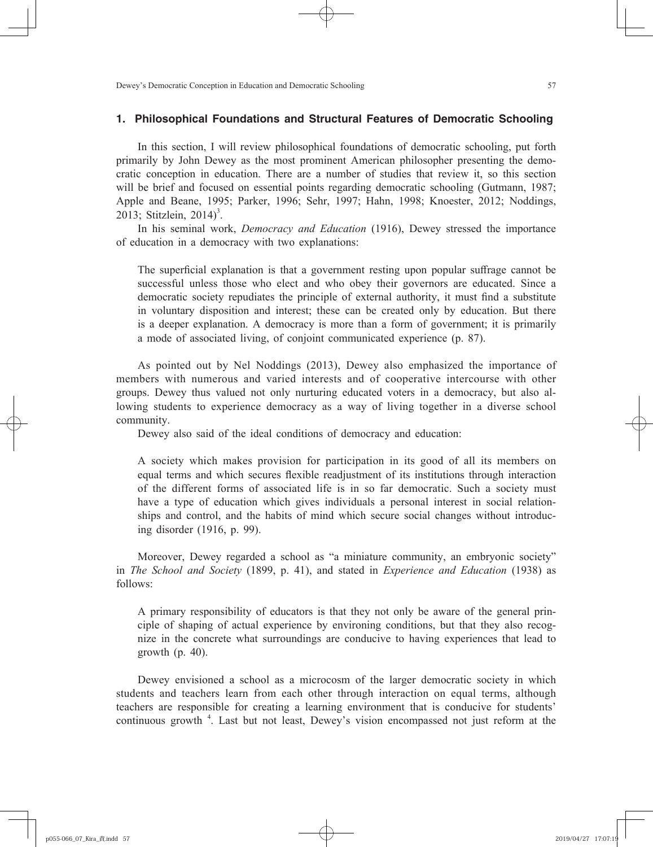## **1. Philosophical Foundations and Structural Features of Democratic Schooling**

In this section, I will review philosophical foundations of democratic schooling, put forth primarily by John Dewey as the most prominent American philosopher presenting the democratic conception in education. There are a number of studies that review it, so this section will be brief and focused on essential points regarding democratic schooling (Gutmann, 1987; Apple and Beane, 1995; Parker, 1996; Sehr, 1997; Hahn, 1998; Knoester, 2012; Noddings, 2013; Stitzlein,  $2014$ <sup>3</sup>.

In his seminal work, *Democracy and Education* (1916), Dewey stressed the importance of education in a democracy with two explanations:

The superficial explanation is that a government resting upon popular suffrage cannot be successful unless those who elect and who obey their governors are educated. Since a democratic society repudiates the principle of external authority, it must find a substitute in voluntary disposition and interest; these can be created only by education. But there is a deeper explanation. A democracy is more than a form of government; it is primarily a mode of associated living, of conjoint communicated experience (p. 87).

As pointed out by Nel Noddings (2013), Dewey also emphasized the importance of members with numerous and varied interests and of cooperative intercourse with other groups. Dewey thus valued not only nurturing educated voters in a democracy, but also allowing students to experience democracy as a way of living together in a diverse school community.

Dewey also said of the ideal conditions of democracy and education:

A society which makes provision for participation in its good of all its members on equal terms and which secures flexible readjustment of its institutions through interaction of the different forms of associated life is in so far democratic. Such a society must have a type of education which gives individuals a personal interest in social relationships and control, and the habits of mind which secure social changes without introducing disorder (1916, p. 99).

Moreover, Dewey regarded a school as "a miniature community, an embryonic society" in *The School and Society* (1899, p. 41), and stated in *Experience and Education* (1938) as follows:

A primary responsibility of educators is that they not only be aware of the general principle of shaping of actual experience by environing conditions, but that they also recognize in the concrete what surroundings are conducive to having experiences that lead to growth (p. 40).

Dewey envisioned a school as a microcosm of the larger democratic society in which students and teachers learn from each other through interaction on equal terms, although teachers are responsible for creating a learning environment that is conducive for students' continuous growth<sup>4</sup>. Last but not least, Dewey's vision encompassed not just reform at the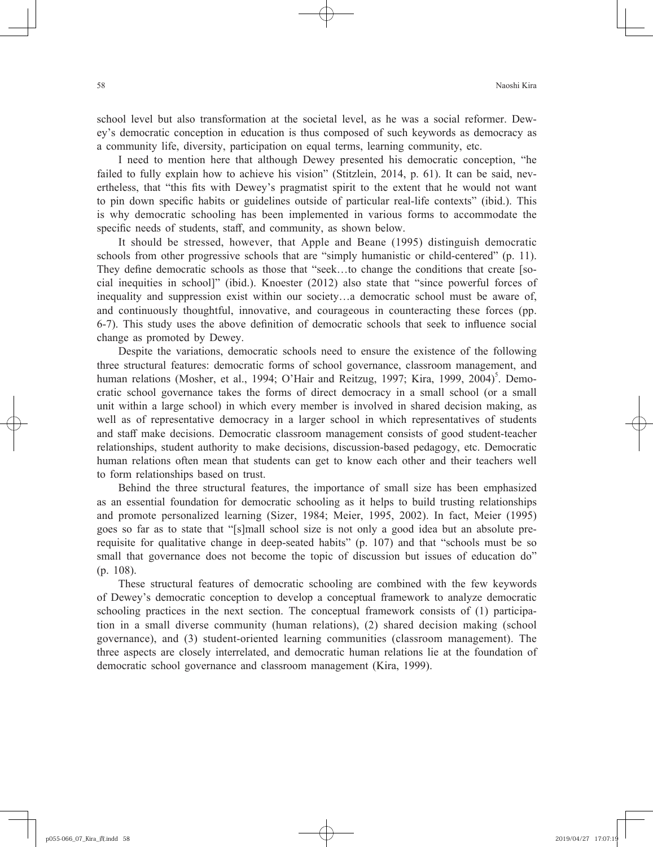school level but also transformation at the societal level, as he was a social reformer. Dewey's democratic conception in education is thus composed of such keywords as democracy as a community life, diversity, participation on equal terms, learning community, etc.

I need to mention here that although Dewey presented his democratic conception, "he failed to fully explain how to achieve his vision" (Stitzlein, 2014, p. 61). It can be said, nevertheless, that "this fits with Dewey's pragmatist spirit to the extent that he would not want to pin down specific habits or guidelines outside of particular real-life contexts" (ibid.). This is why democratic schooling has been implemented in various forms to accommodate the specific needs of students, staff, and community, as shown below.

It should be stressed, however, that Apple and Beane (1995) distinguish democratic schools from other progressive schools that are "simply humanistic or child-centered" (p. 11). They define democratic schools as those that "seek...to change the conditions that create [social inequities in school]" (ibid.). Knoester (2012) also state that "since powerful forces of inequality and suppression exist within our society…a democratic school must be aware of, and continuously thoughtful, innovative, and courageous in counteracting these forces (pp. 6-7). This study uses the above definition of democratic schools that seek to influence social change as promoted by Dewey.

Despite the variations, democratic schools need to ensure the existence of the following three structural features: democratic forms of school governance, classroom management, and human relations (Mosher, et al., 1994; O'Hair and Reitzug, 1997; Kira, 1999, 2004)<sup>5</sup>. Democratic school governance takes the forms of direct democracy in a small school (or a small unit within a large school) in which every member is involved in shared decision making, as well as of representative democracy in a larger school in which representatives of students and staff make decisions. Democratic classroom management consists of good student-teacher relationships, student authority to make decisions, discussion-based pedagogy, etc. Democratic human relations often mean that students can get to know each other and their teachers well to form relationships based on trust.

Behind the three structural features, the importance of small size has been emphasized as an essential foundation for democratic schooling as it helps to build trusting relationships and promote personalized learning (Sizer, 1984; Meier, 1995, 2002). In fact, Meier (1995) goes so far as to state that "[s]mall school size is not only a good idea but an absolute prerequisite for qualitative change in deep-seated habits" (p. 107) and that "schools must be so small that governance does not become the topic of discussion but issues of education do" (p. 108).

These structural features of democratic schooling are combined with the few keywords of Dewey's democratic conception to develop a conceptual framework to analyze democratic schooling practices in the next section. The conceptual framework consists of (1) participation in a small diverse community (human relations), (2) shared decision making (school governance), and (3) student-oriented learning communities (classroom management). The three aspects are closely interrelated, and democratic human relations lie at the foundation of democratic school governance and classroom management (Kira, 1999).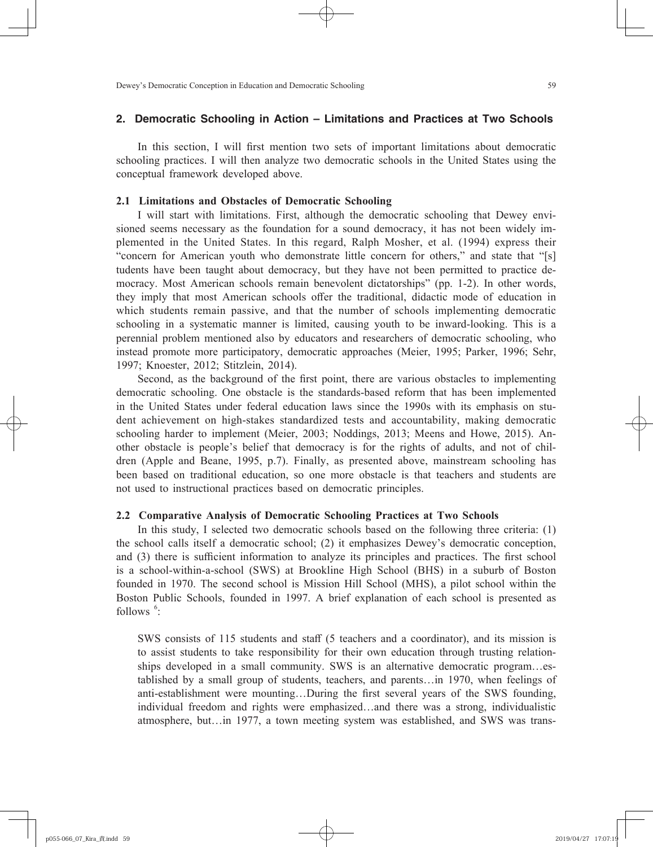## **2. Democratic Schooling in Action – Limitations and Practices at Two Schools**

In this section, I will first mention two sets of important limitations about democratic schooling practices. I will then analyze two democratic schools in the United States using the conceptual framework developed above.

### **2.1 Limitations and Obstacles of Democratic Schooling**

I will start with limitations. First, although the democratic schooling that Dewey envisioned seems necessary as the foundation for a sound democracy, it has not been widely implemented in the United States. In this regard, Ralph Mosher, et al. (1994) express their "concern for American youth who demonstrate little concern for others," and state that "[s] tudents have been taught about democracy, but they have not been permitted to practice democracy. Most American schools remain benevolent dictatorships" (pp. 1-2). In other words, they imply that most American schools offer the traditional, didactic mode of education in which students remain passive, and that the number of schools implementing democratic schooling in a systematic manner is limited, causing youth to be inward-looking. This is a perennial problem mentioned also by educators and researchers of democratic schooling, who instead promote more participatory, democratic approaches (Meier, 1995; Parker, 1996; Sehr, 1997; Knoester, 2012; Stitzlein, 2014).

Second, as the background of the first point, there are various obstacles to implementing democratic schooling. One obstacle is the standards-based reform that has been implemented in the United States under federal education laws since the 1990s with its emphasis on student achievement on high-stakes standardized tests and accountability, making democratic schooling harder to implement (Meier, 2003; Noddings, 2013; Meens and Howe, 2015). Another obstacle is people's belief that democracy is for the rights of adults, and not of children (Apple and Beane, 1995, p.7). Finally, as presented above, mainstream schooling has been based on traditional education, so one more obstacle is that teachers and students are not used to instructional practices based on democratic principles.

#### **2.2 Comparative Analysis of Democratic Schooling Practices at Two Schools**

In this study, I selected two democratic schools based on the following three criteria: (1) the school calls itself a democratic school; (2) it emphasizes Dewey's democratic conception, and (3) there is sufficient information to analyze its principles and practices. The first school is a school-within-a-school (SWS) at Brookline High School (BHS) in a suburb of Boston founded in 1970. The second school is Mission Hill School (MHS), a pilot school within the Boston Public Schools, founded in 1997. A brief explanation of each school is presented as follows  $\frac{6}{1}$ :

SWS consists of 115 students and staff (5 teachers and a coordinator), and its mission is to assist students to take responsibility for their own education through trusting relationships developed in a small community. SWS is an alternative democratic program…established by a small group of students, teachers, and parents…in 1970, when feelings of anti-establishment were mounting...During the first several years of the SWS founding, individual freedom and rights were emphasized…and there was a strong, individualistic atmosphere, but…in 1977, a town meeting system was established, and SWS was trans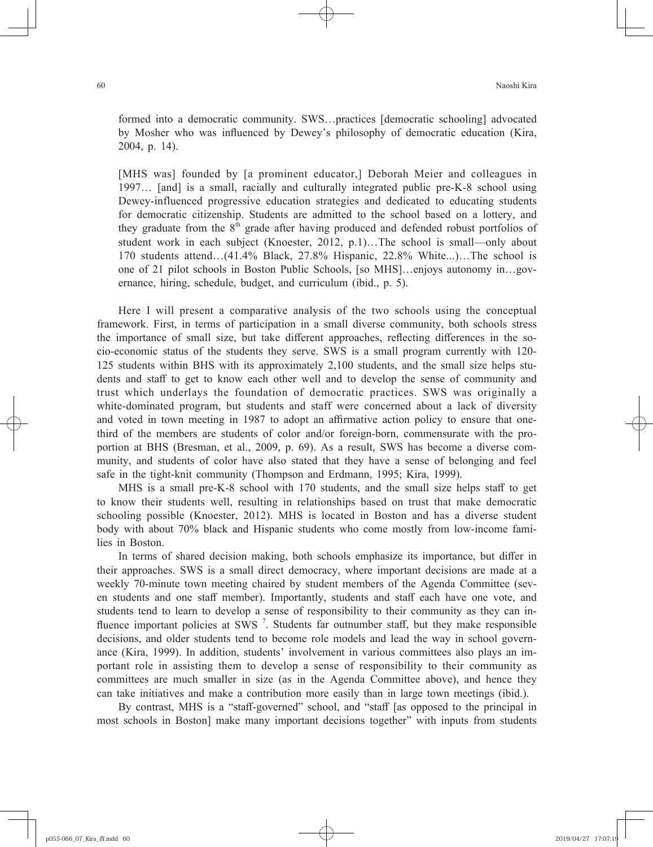formed into a democratic community. SWS…practices [democratic schooling] advocated by Mosher who was influenced by Dewey's philosophy of democratic education (Kira, 2004, p. 14).

[MHS was] founded by [a prominent educator,] Deborah Meier and colleagues in 1997… [and] is a small, racially and culturally integrated public pre-K-8 school using Dewey-influenced progressive education strategies and dedicated to educating students for democratic citizenship. Students are admitted to the school based on a lottery, and they graduate from the  $8<sup>th</sup>$  grade after having produced and defended robust portfolios of student work in each subject (Knoester, 2012, p.1)…The school is small—only about 170 students attend…(41.4% Black, 27.8% Hispanic, 22.8% White...)…The school is one of 21 pilot schools in Boston Public Schools, [so MHS]…enjoys autonomy in…governance, hiring, schedule, budget, and curriculum (ibid., p. 5).

Here I will present a comparative analysis of the two schools using the conceptual framework. First, in terms of participation in a small diverse community, both schools stress the importance of small size, but take different approaches, reflecting differences in the socio-economic status of the students they serve. SWS is a small program currently with 120- 125 students within BHS with its approximately 2,100 students, and the small size helps students and staff to get to know each other well and to develop the sense of community and trust which underlays the foundation of democratic practices. SWS was originally a white-dominated program, but students and staff were concerned about a lack of diversity and voted in town meeting in 1987 to adopt an affirmative action policy to ensure that onethird of the members are students of color and/or foreign-born, commensurate with the proportion at BHS (Bresman, et al., 2009, p. 69). As a result, SWS has become a diverse community, and students of color have also stated that they have a sense of belonging and feel safe in the tight-knit community (Thompson and Erdmann, 1995; Kira, 1999).

MHS is a small pre-K-8 school with 170 students, and the small size helps staff to get to know their students well, resulting in relationships based on trust that make democratic schooling possible (Knoester, 2012). MHS is located in Boston and has a diverse student body with about 70% black and Hispanic students who come mostly from low-income families in Boston.

In terms of shared decision making, both schools emphasize its importance, but differ in their approaches. SWS is a small direct democracy, where important decisions are made at a weekly 70-minute town meeting chaired by student members of the Agenda Committee (seven students and one staff member). Importantly, students and staff each have one vote, and students tend to learn to develop a sense of responsibility to their community as they can influence important policies at SWS<sup>7</sup>. Students far outnumber staff, but they make responsible decisions, and older students tend to become role models and lead the way in school governance (Kira, 1999). In addition, students' involvement in various committees also plays an important role in assisting them to develop a sense of responsibility to their community as committees are much smaller in size (as in the Agenda Committee above), and hence they can take initiatives and make a contribution more easily than in large town meetings (ibid.).

By contrast, MHS is a "staff -governed" school, and "staff [as opposed to the principal in most schools in Boston] make many important decisions together" with inputs from students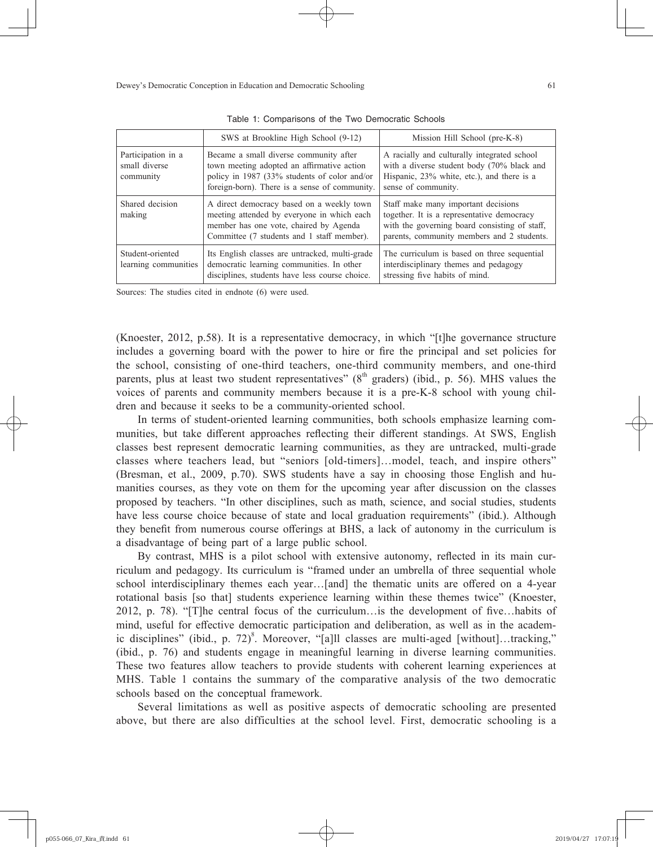|                                                  | SWS at Brookline High School (9-12)                                                                                                                                                   | Mission Hill School (pre-K-8)                                                                                                                                                    |
|--------------------------------------------------|---------------------------------------------------------------------------------------------------------------------------------------------------------------------------------------|----------------------------------------------------------------------------------------------------------------------------------------------------------------------------------|
| Participation in a<br>small diverse<br>community | Became a small diverse community after<br>town meeting adopted an affirmative action<br>policy in 1987 (33% students of color and/or<br>foreign-born). There is a sense of community. | A racially and culturally integrated school<br>with a diverse student body (70% black and<br>Hispanic, 23% white, etc.), and there is a<br>sense of community.                   |
| Shared decision<br>making                        | A direct democracy based on a weekly town<br>meeting attended by everyone in which each<br>member has one vote, chaired by Agenda<br>Committee (7 students and 1 staff member).       | Staff make many important decisions<br>together. It is a representative democracy<br>with the governing board consisting of staff,<br>parents, community members and 2 students. |
| Student-oriented<br>learning communities         | Its English classes are untracked, multi-grade<br>democratic learning communities. In other<br>disciplines, students have less course choice.                                         | The curriculum is based on three sequential<br>interdisciplinary themes and pedagogy<br>stressing five habits of mind.                                                           |

Table 1: Comparisons of the Two Democratic Schools

Sources: The studies cited in endnote (6) were used.

(Knoester, 2012, p.58). It is a representative democracy, in which "[t]he governance structure includes a governing board with the power to hire or fire the principal and set policies for the school, consisting of one-third teachers, one-third community members, and one-third parents, plus at least two student representatives" ( $8<sup>th</sup>$  graders) (ibid., p. 56). MHS values the voices of parents and community members because it is a pre-K-8 school with young children and because it seeks to be a community-oriented school.

In terms of student-oriented learning communities, both schools emphasize learning communities, but take different approaches reflecting their different standings. At SWS, English classes best represent democratic learning communities, as they are untracked, multi-grade classes where teachers lead, but "seniors [old-timers]…model, teach, and inspire others" (Bresman, et al., 2009, p.70). SWS students have a say in choosing those English and humanities courses, as they vote on them for the upcoming year after discussion on the classes proposed by teachers. "In other disciplines, such as math, science, and social studies, students have less course choice because of state and local graduation requirements" (ibid.). Although they benefit from numerous course offerings at BHS, a lack of autonomy in the curriculum is a disadvantage of being part of a large public school.

By contrast, MHS is a pilot school with extensive autonomy, reflected in its main curriculum and pedagogy. Its curriculum is "framed under an umbrella of three sequential whole school interdisciplinary themes each year...[and] the thematic units are offered on a 4-year rotational basis [so that] students experience learning within these themes twice" (Knoester, 2012, p. 78). "[T]he central focus of the curriculum... is the development of five... habits of mind, useful for effective democratic participation and deliberation, as well as in the academic disciplines" (ibid., p. 72)<sup>8</sup>. Moreover, "[a]ll classes are multi-aged [without]...tracking," (ibid., p. 76) and students engage in meaningful learning in diverse learning communities. These two features allow teachers to provide students with coherent learning experiences at MHS. Table 1 contains the summary of the comparative analysis of the two democratic schools based on the conceptual framework.

Several limitations as well as positive aspects of democratic schooling are presented above, but there are also difficulties at the school level. First, democratic schooling is a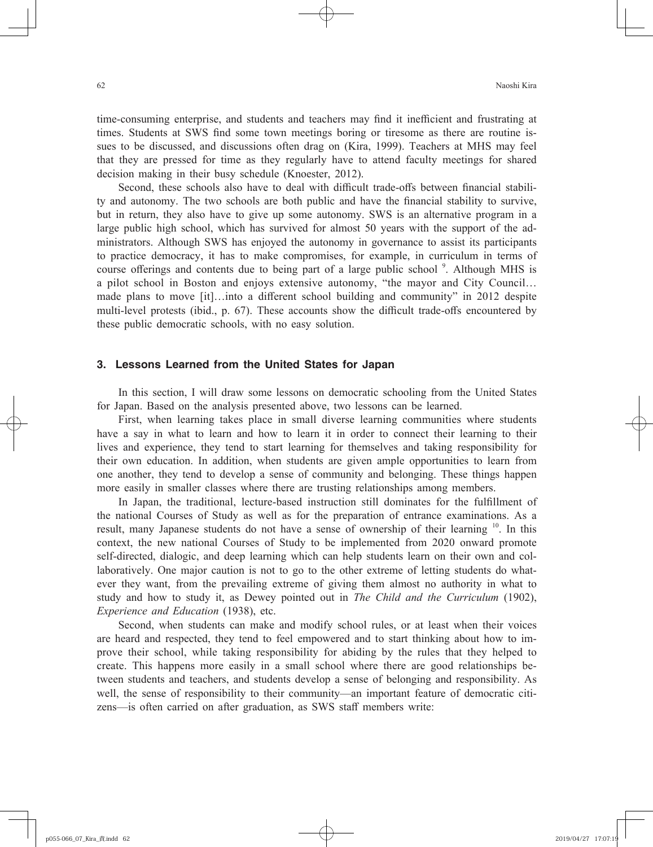time-consuming enterprise, and students and teachers may find it inefficient and frustrating at times. Students at SWS find some town meetings boring or tiresome as there are routine issues to be discussed, and discussions often drag on (Kira, 1999). Teachers at MHS may feel that they are pressed for time as they regularly have to attend faculty meetings for shared decision making in their busy schedule (Knoester, 2012).

Second, these schools also have to deal with difficult trade-offs between financial stability and autonomy. The two schools are both public and have the financial stability to survive, but in return, they also have to give up some autonomy. SWS is an alternative program in a large public high school, which has survived for almost 50 years with the support of the administrators. Although SWS has enjoyed the autonomy in governance to assist its participants to practice democracy, it has to make compromises, for example, in curriculum in terms of course offerings and contents due to being part of a large public school<sup>9</sup>. Although MHS is a pilot school in Boston and enjoys extensive autonomy, "the mayor and City Council… made plans to move  $\lceil \text{it} \rceil$ ... into a different school building and community" in 2012 despite multi-level protests (ibid., p. 67). These accounts show the difficult trade-offs encountered by these public democratic schools, with no easy solution.

## **3. Lessons Learned from the United States for Japan**

In this section, I will draw some lessons on democratic schooling from the United States for Japan. Based on the analysis presented above, two lessons can be learned.

First, when learning takes place in small diverse learning communities where students have a say in what to learn and how to learn it in order to connect their learning to their lives and experience, they tend to start learning for themselves and taking responsibility for their own education. In addition, when students are given ample opportunities to learn from one another, they tend to develop a sense of community and belonging. These things happen more easily in smaller classes where there are trusting relationships among members.

In Japan, the traditional, lecture-based instruction still dominates for the fulfillment of the national Courses of Study as well as for the preparation of entrance examinations. As a result, many Japanese students do not have a sense of ownership of their learning <sup>10</sup>. In this context, the new national Courses of Study to be implemented from 2020 onward promote self-directed, dialogic, and deep learning which can help students learn on their own and collaboratively. One major caution is not to go to the other extreme of letting students do whatever they want, from the prevailing extreme of giving them almost no authority in what to study and how to study it, as Dewey pointed out in *The Child and the Curriculum* (1902), *Experience and Education* (1938), etc.

Second, when students can make and modify school rules, or at least when their voices are heard and respected, they tend to feel empowered and to start thinking about how to improve their school, while taking responsibility for abiding by the rules that they helped to create. This happens more easily in a small school where there are good relationships between students and teachers, and students develop a sense of belonging and responsibility. As well, the sense of responsibility to their community—an important feature of democratic citizens—is often carried on after graduation, as SWS staff members write: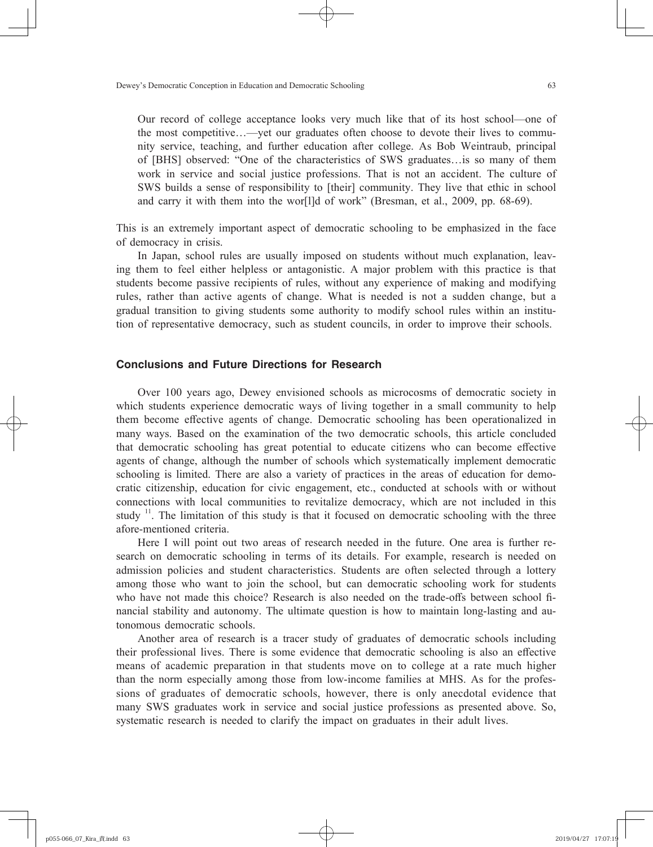Our record of college acceptance looks very much like that of its host school—one of the most competitive…—yet our graduates often choose to devote their lives to community service, teaching, and further education after college. As Bob Weintraub, principal of [BHS] observed: "One of the characteristics of SWS graduates…is so many of them work in service and social justice professions. That is not an accident. The culture of SWS builds a sense of responsibility to [their] community. They live that ethic in school and carry it with them into the wor[l]d of work" (Bresman, et al., 2009, pp. 68-69).

This is an extremely important aspect of democratic schooling to be emphasized in the face of democracy in crisis.

In Japan, school rules are usually imposed on students without much explanation, leaving them to feel either helpless or antagonistic. A major problem with this practice is that students become passive recipients of rules, without any experience of making and modifying rules, rather than active agents of change. What is needed is not a sudden change, but a gradual transition to giving students some authority to modify school rules within an institution of representative democracy, such as student councils, in order to improve their schools.

## **Conclusions and Future Directions for Research**

Over 100 years ago, Dewey envisioned schools as microcosms of democratic society in which students experience democratic ways of living together in a small community to help them become effective agents of change. Democratic schooling has been operationalized in many ways. Based on the examination of the two democratic schools, this article concluded that democratic schooling has great potential to educate citizens who can become effective agents of change, although the number of schools which systematically implement democratic schooling is limited. There are also a variety of practices in the areas of education for democratic citizenship, education for civic engagement, etc., conducted at schools with or without connections with local communities to revitalize democracy, which are not included in this study  $\frac{11}{11}$ . The limitation of this study is that it focused on democratic schooling with the three afore-mentioned criteria.

Here I will point out two areas of research needed in the future. One area is further research on democratic schooling in terms of its details. For example, research is needed on admission policies and student characteristics. Students are often selected through a lottery among those who want to join the school, but can democratic schooling work for students who have not made this choice? Research is also needed on the trade-offs between school financial stability and autonomy. The ultimate question is how to maintain long-lasting and autonomous democratic schools.

Another area of research is a tracer study of graduates of democratic schools including their professional lives. There is some evidence that democratic schooling is also an effective means of academic preparation in that students move on to college at a rate much higher than the norm especially among those from low-income families at MHS. As for the professions of graduates of democratic schools, however, there is only anecdotal evidence that many SWS graduates work in service and social justice professions as presented above. So, systematic research is needed to clarify the impact on graduates in their adult lives.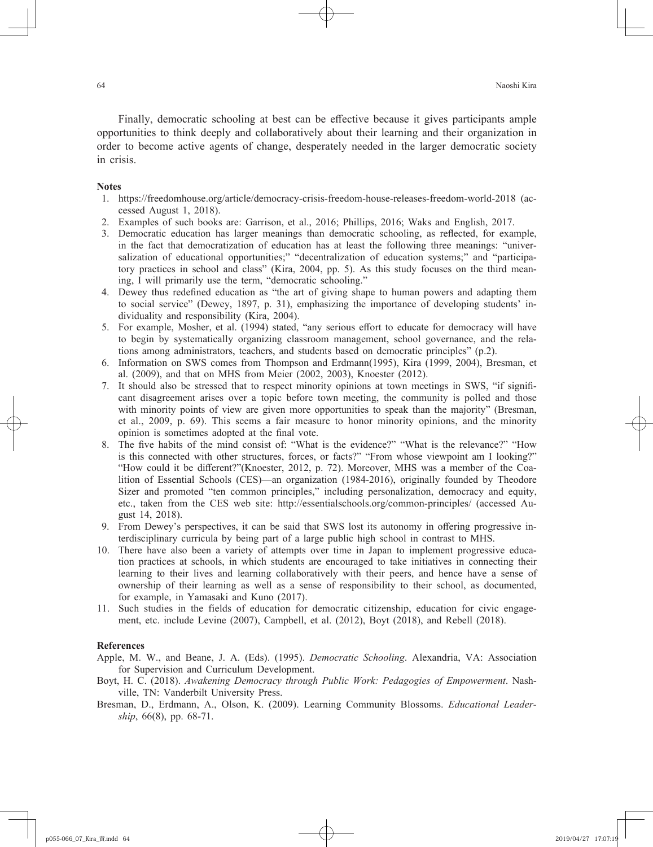Finally, democratic schooling at best can be effective because it gives participants ample opportunities to think deeply and collaboratively about their learning and their organization in order to become active agents of change, desperately needed in the larger democratic society in crisis.

#### **Notes**

- 1. https://freedomhouse.org/article/democracy-crisis-freedom-house-releases-freedom-world-2018 (accessed August 1, 2018).
- 2. Examples of such books are: Garrison, et al., 2016; Phillips, 2016; Waks and English, 2017.
- 3. Democratic education has larger meanings than democratic schooling, as reflected, for example, in the fact that democratization of education has at least the following three meanings: "universalization of educational opportunities;" "decentralization of education systems;" and "participatory practices in school and class" (Kira, 2004, pp. 5). As this study focuses on the third meaning, I will primarily use the term, "democratic schooling."
- 4. Dewey thus redefined education as "the art of giving shape to human powers and adapting them to social service" (Dewey, 1897, p. 31), emphasizing the importance of developing students' individuality and responsibility (Kira, 2004).
- 5. For example, Mosher, et al. (1994) stated, "any serious effort to educate for democracy will have to begin by systematically organizing classroom management, school governance, and the relations among administrators, teachers, and students based on democratic principles" (p.2).
- 6. Information on SWS comes from Thompson and Erdmann(1995), Kira (1999, 2004), Bresman, et al. (2009), and that on MHS from Meier (2002, 2003), Knoester (2012).
- 7. It should also be stressed that to respect minority opinions at town meetings in SWS, "if signifi cant disagreement arises over a topic before town meeting, the community is polled and those with minority points of view are given more opportunities to speak than the majority" (Bresman, et al., 2009, p. 69). This seems a fair measure to honor minority opinions, and the minority opinion is sometimes adopted at the final vote.
- 8. The five habits of the mind consist of: "What is the evidence?" "What is the relevance?" "How is this connected with other structures, forces, or facts?" "From whose viewpoint am I looking?" "How could it be different?"(Knoester, 2012, p. 72). Moreover, MHS was a member of the Coalition of Essential Schools (CES)—an organization (1984-2016), originally founded by Theodore Sizer and promoted "ten common principles," including personalization, democracy and equity, etc., taken from the CES web site: http://essentialschools.org/common-principles/ (accessed August 14, 2018).
- 9. From Dewey's perspectives, it can be said that SWS lost its autonomy in offering progressive interdisciplinary curricula by being part of a large public high school in contrast to MHS.
- 10. There have also been a variety of attempts over time in Japan to implement progressive education practices at schools, in which students are encouraged to take initiatives in connecting their learning to their lives and learning collaboratively with their peers, and hence have a sense of ownership of their learning as well as a sense of responsibility to their school, as documented, for example, in Yamasaki and Kuno (2017).
- 11. Such studies in the fields of education for democratic citizenship, education for civic engagement, etc. include Levine (2007), Campbell, et al. (2012), Boyt (2018), and Rebell (2018).

#### **References**

- Apple, M. W., and Beane, J. A. (Eds). (1995). *Democratic Schooling*. Alexandria, VA: Association for Supervision and Curriculum Development.
- Boyt, H. C. (2018). *Awakening Democracy through Public Work: Pedagogies of Empowerment*. Nashville, TN: Vanderbilt University Press.
- Bresman, D., Erdmann, A., Olson, K. (2009). Learning Community Blossoms. *Educational Leadership*, 66(8), pp. 68-71.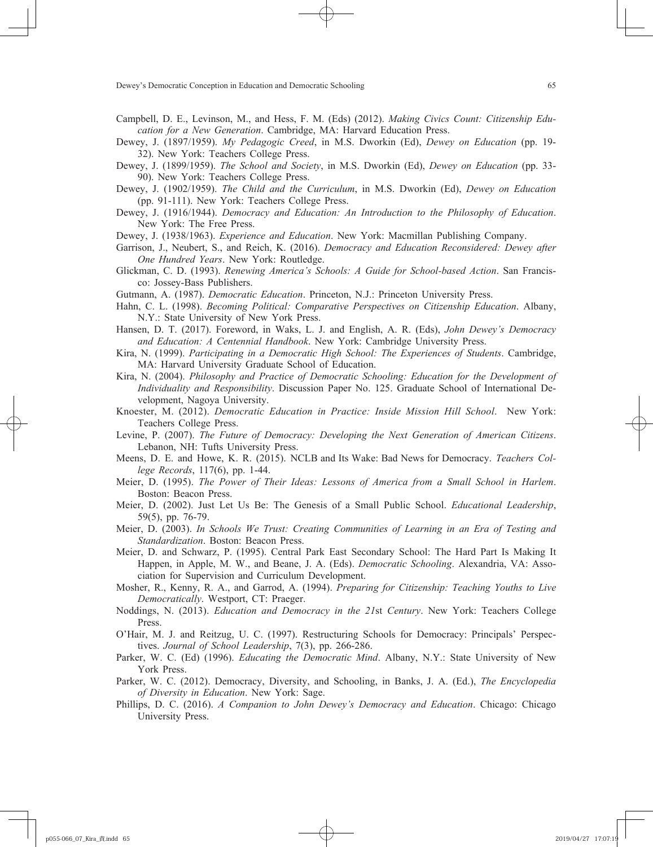- Campbell, D. E., Levinson, M., and Hess, F. M. (Eds) (2012). *Making Civics Count: Citizenship Education for a New Generation*. Cambridge, MA: Harvard Education Press.
- Dewey, J. (1897/1959). *My Pedagogic Creed*, in M.S. Dworkin (Ed), *Dewey on Education* (pp. 19- 32). New York: Teachers College Press.
- Dewey, J. (1899/1959). *The School and Society*, in M.S. Dworkin (Ed), *Dewey on Education* (pp. 33- 90). New York: Teachers College Press.
- Dewey, J. (1902/1959). *The Child and the Curriculum*, in M.S. Dworkin (Ed), *Dewey on Education* (pp. 91-111). New York: Teachers College Press.
- Dewey, J. (1916/1944). *Democracy and Education: An Introduction to the Philosophy of Education*. New York: The Free Press.
- Dewey, J. (1938/1963). *Experience and Education*. New York: Macmillan Publishing Company.
- Garrison, J., Neubert, S., and Reich, K. (2016). *Democracy and Education Reconsidered: Dewey after One Hundred Years*. New York: Routledge.
- Glickman, C. D. (1993). *Renewing America's Schools: A Guide for School-based Action*. San Francisco: Jossey-Bass Publishers.
- Gutmann, A. (1987). *Democratic Education*. Princeton, N.J.: Princeton University Press.
- Hahn, C. L. (1998). *Becoming Political: Comparative Perspectives on Citizenship Education*. Albany, N.Y.: State University of New York Press.
- Hansen, D. T. (2017). Foreword, in Waks, L. J. and English, A. R. (Eds), *John Dewey's Democracy and Education: A Centennial Handbook*. New York: Cambridge University Press.
- Kira, N. (1999). *Participating in a Democratic High School: The Experiences of Students*. Cambridge, MA: Harvard University Graduate School of Education.
- Kira, N. (2004). *Philosophy and Practice of Democratic Schooling: Education for the Development of Individuality and Responsibility*. Discussion Paper No. 125. Graduate School of International Development, Nagoya University.
- Knoester, M. (2012). *Democratic Education in Practice: Inside Mission Hill School*. New York: Teachers College Press.
- Levine, P. (2007). *The Future of Democracy: Developing the Next Generation of American Citizens*. Lebanon, NH: Tufts University Press.
- Meens, D. E. and Howe, K. R. (2015). NCLB and Its Wake: Bad News for Democracy. *Teachers College Records*, 117(6), pp. 1-44.
- Meier, D. (1995). *The Power of Their Ideas: Lessons of America from a Small School in Harlem*. Boston: Beacon Press.
- Meier, D. (2002). Just Let Us Be: The Genesis of a Small Public School. *Educational Leadership*, 59(5), pp. 76-79.
- Meier, D. (2003). *In Schools We Trust: Creating Communities of Learning in an Era of Testing and Standardization*. Boston: Beacon Press.
- Meier, D. and Schwarz, P. (1995). Central Park East Secondary School: The Hard Part Is Making It Happen, in Apple, M. W., and Beane, J. A. (Eds). *Democratic Schooling*. Alexandria, VA: Association for Supervision and Curriculum Development.
- Mosher, R., Kenny, R. A., and Garrod, A. (1994). *Preparing for Citizenship: Teaching Youths to Live Democratically*. Westport, CT: Praeger.
- Noddings, N. (2013). *Education and Democracy in the 21*st *Century*. New York: Teachers College Press.
- O'Hair, M. J. and Reitzug, U. C. (1997). Restructuring Schools for Democracy: Principals' Perspectives. *Journal of School Leadership*, 7(3), pp. 266-286.
- Parker, W. C. (Ed) (1996). *Educating the Democratic Mind*. Albany, N.Y.: State University of New York Press.
- Parker, W. C. (2012). Democracy, Diversity, and Schooling, in Banks, J. A. (Ed.), *The Encyclopedia of Diversity in Education*. New York: Sage.
- Phillips, D. C. (2016). *A Companion to John Dewey's Democracy and Education*. Chicago: Chicago University Press.